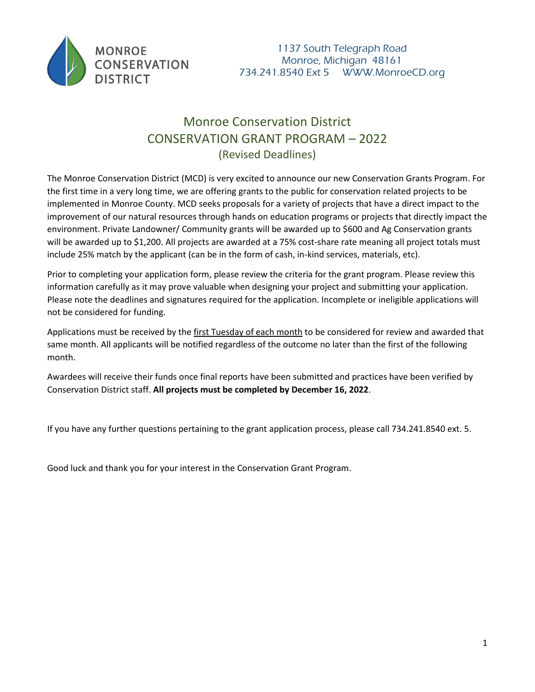

# Monroe Conservation District CONSERVATION GRANT PROGRAM – 2022 (Revised Deadlines)

The Monroe Conservation District (MCD) is very excited to announce our new Conservation Grants Program. For the first time in a very long time, we are offering grants to the public for conservation related projects to be implemented in Monroe County. MCD seeks proposals for a variety of projects that have a direct impact to the improvement of our natural resources through hands on education programs or projects that directly impact the environment. Private Landowner/ Community grants will be awarded up to \$600 and Ag Conservation grants will be awarded up to \$1,200. All projects are awarded at a 75% cost-share rate meaning all project totals must include 25% match by the applicant (can be in the form of cash, in-kind services, materials, etc).

Prior to completing your application form, please review the criteria for the grant program. Please review this information carefully as it may prove valuable when designing your project and submitting your application. Please note the deadlines and signatures required for the application. Incomplete or ineligible applications will not be considered for funding.

Applications must be received by the first Tuesday of each month to be considered for review and awarded that same month. All applicants will be notified regardless of the outcome no later than the first of the following month.

Awardees will receive their funds once final reports have been submitted and practices have been verified by Conservation District staff. **All projects must be completed by December 16, 2022**.

If you have any further questions pertaining to the grant application process, please call 734.241.8540 ext. 5.

Good luck and thank you for your interest in the Conservation Grant Program.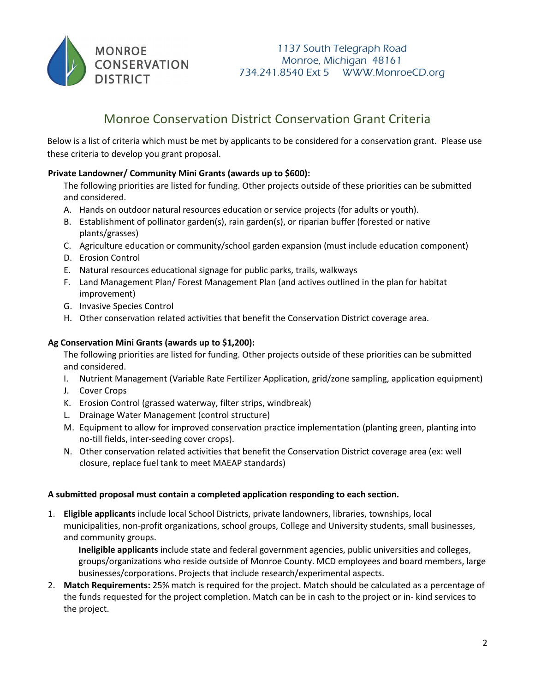

# Monroe Conservation District Conservation Grant Criteria

Below is a list of criteria which must be met by applicants to be considered for a conservation grant. Please use these criteria to develop you grant proposal.

#### **Private Landowner/ Community Mini Grants (awards up to \$600):**

- The following priorities are listed for funding. Other projects outside of these priorities can be submitted and considered.
- A. Hands on outdoor natural resources education or service projects (for adults or youth).
- B. Establishment of pollinator garden(s), rain garden(s), or riparian buffer (forested or native plants/grasses)
- C. Agriculture education or community/school garden expansion (must include education component)
- D. Erosion Control
- E. Natural resources educational signage for public parks, trails, walkways
- F. Land Management Plan/ Forest Management Plan (and actives outlined in the plan for habitat improvement)
- G. Invasive Species Control
- H. Other conservation related activities that benefit the Conservation District coverage area.

### **Ag Conservation Mini Grants (awards up to \$1,200):**

The following priorities are listed for funding. Other projects outside of these priorities can be submitted and considered.

- I. Nutrient Management (Variable Rate Fertilizer Application, grid/zone sampling, application equipment)
- J. Cover Crops
- K. Erosion Control (grassed waterway, filter strips, windbreak)
- L. Drainage Water Management (control structure)
- M. Equipment to allow for improved conservation practice implementation (planting green, planting into no-till fields, inter-seeding cover crops).
- N. Other conservation related activities that benefit the Conservation District coverage area (ex: well closure, replace fuel tank to meet MAEAP standards)

#### **A submitted proposal must contain a completed application responding to each section.**

1. **Eligible applicants** include local School Districts, private landowners, libraries, townships, local municipalities, non-profit organizations, school groups, College and University students, small businesses, and community groups.

**Ineligible applicants** include state and federal government agencies, public universities and colleges, groups/organizations who reside outside of Monroe County. MCD employees and board members, large businesses/corporations. Projects that include research/experimental aspects.

2. **Match Requirements:** 25% match is required for the project. Match should be calculated as a percentage of the funds requested for the project completion. Match can be in cash to the project or in- kind services to the project.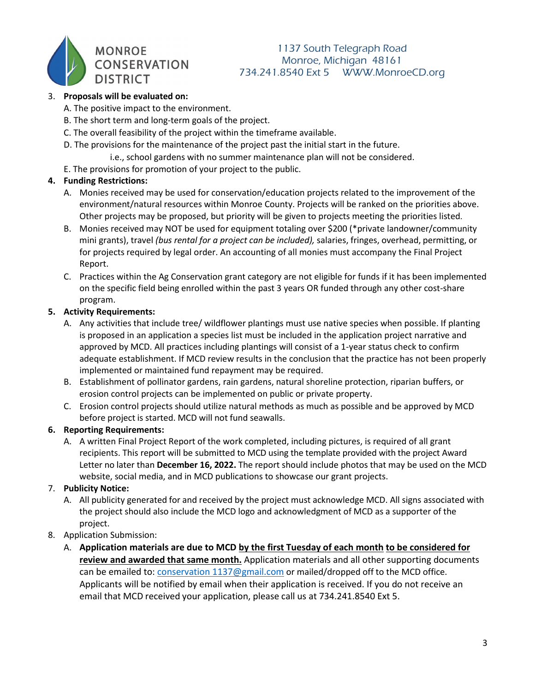

## 1137 South Telegraph Road Monroe, Michigan 48161 734.241.8540 Ext 5 WWW.MonroeCD.org

#### 3. **Proposals will be evaluated on:**

- A. The positive impact to the environment.
- B. The short term and long-term goals of the project.
- C. The overall feasibility of the project within the timeframe available.
- D. The provisions for the maintenance of the project past the initial start in the future.
	- i.e., school gardens with no summer maintenance plan will not be considered.
- E. The provisions for promotion of your project to the public.

## **4. Funding Restrictions:**

- A. Monies received may be used for conservation/education projects related to the improvement of the environment/natural resources within Monroe County. Projects will be ranked on the priorities above. Other projects may be proposed, but priority will be given to projects meeting the priorities listed.
- B. Monies received may NOT be used for equipment totaling over \$200 (\*private landowner/community mini grants), travel *(bus rental for a project can be included),* salaries, fringes, overhead, permitting, or for projects required by legal order. An accounting of all monies must accompany the Final Project Report.
- C. Practices within the Ag Conservation grant category are not eligible for funds if it has been implemented on the specific field being enrolled within the past 3 years OR funded through any other cost-share program.

#### **5. Activity Requirements:**

- A. Any activities that include tree/ wildflower plantings must use native species when possible. If planting is proposed in an application a species list must be included in the application project narrative and approved by MCD. All practices including plantings will consist of a 1-year status check to confirm adequate establishment. If MCD review results in the conclusion that the practice has not been properly implemented or maintained fund repayment may be required.
- B. Establishment of pollinator gardens, rain gardens, natural shoreline protection, riparian buffers, or erosion control projects can be implemented on public or private property.
- C. Erosion control projects should utilize natural methods as much as possible and be approved by MCD before project is started. MCD will not fund seawalls.

#### **6. Reporting Requirements:**

A. A written Final Project Report of the work completed, including pictures, is required of all grant recipients. This report will be submitted to MCD using the template provided with the project Award Letter no later than **December 16, 2022.** The report should include photos that may be used on the MCD website, social media, and in MCD publications to showcase our grant projects.

## 7. **Publicity Notice:**

- A. All publicity generated for and received by the project must acknowledge MCD. All signs associated with the project should also include the MCD logo and acknowledgment of MCD as a supporter of the project.
- 8. Application Submission:
	- A. **Application materials are due to MCD by the first Tuesday of each month to be considered for review and awarded that same month.** Application materials and all other supporting documents can be emailed to: *conservation* 1137@gmail.com or mailed/dropped off to the MCD office. Applicants will be notified by email when their application is received. If you do not receive an email that MCD received your application, please call us at 734.241.8540 Ext 5.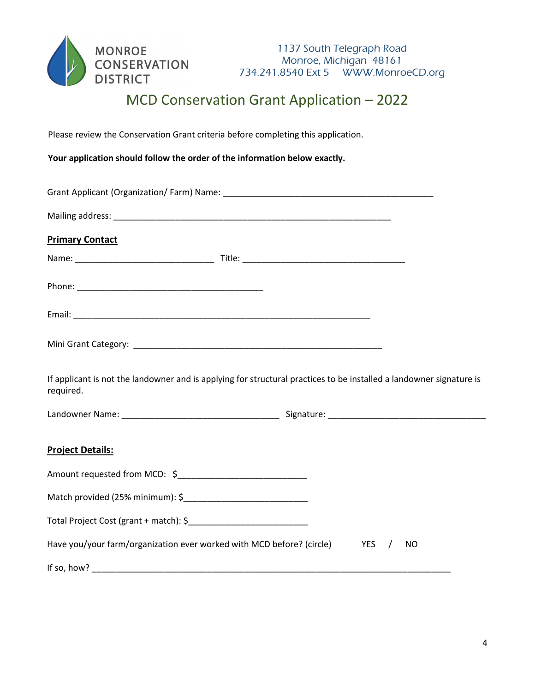

# MCD Conservation Grant Application – 2022

Please review the Conservation Grant criteria before completing this application.

**Your application should follow the order of the information below exactly.** 

| <b>Primary Contact</b>                                                                                                           |  |  |           |  |
|----------------------------------------------------------------------------------------------------------------------------------|--|--|-----------|--|
|                                                                                                                                  |  |  |           |  |
|                                                                                                                                  |  |  |           |  |
|                                                                                                                                  |  |  |           |  |
|                                                                                                                                  |  |  |           |  |
| If applicant is not the landowner and is applying for structural practices to be installed a landowner signature is<br>required. |  |  |           |  |
|                                                                                                                                  |  |  |           |  |
| <b>Project Details:</b>                                                                                                          |  |  |           |  |
| Amount requested from MCD: \$________________________________                                                                    |  |  |           |  |
| Match provided (25% minimum): \$                                                                                                 |  |  |           |  |
|                                                                                                                                  |  |  |           |  |
| Have you/your farm/organization ever worked with MCD before? (circle) YES /                                                      |  |  | <b>NO</b> |  |
|                                                                                                                                  |  |  |           |  |